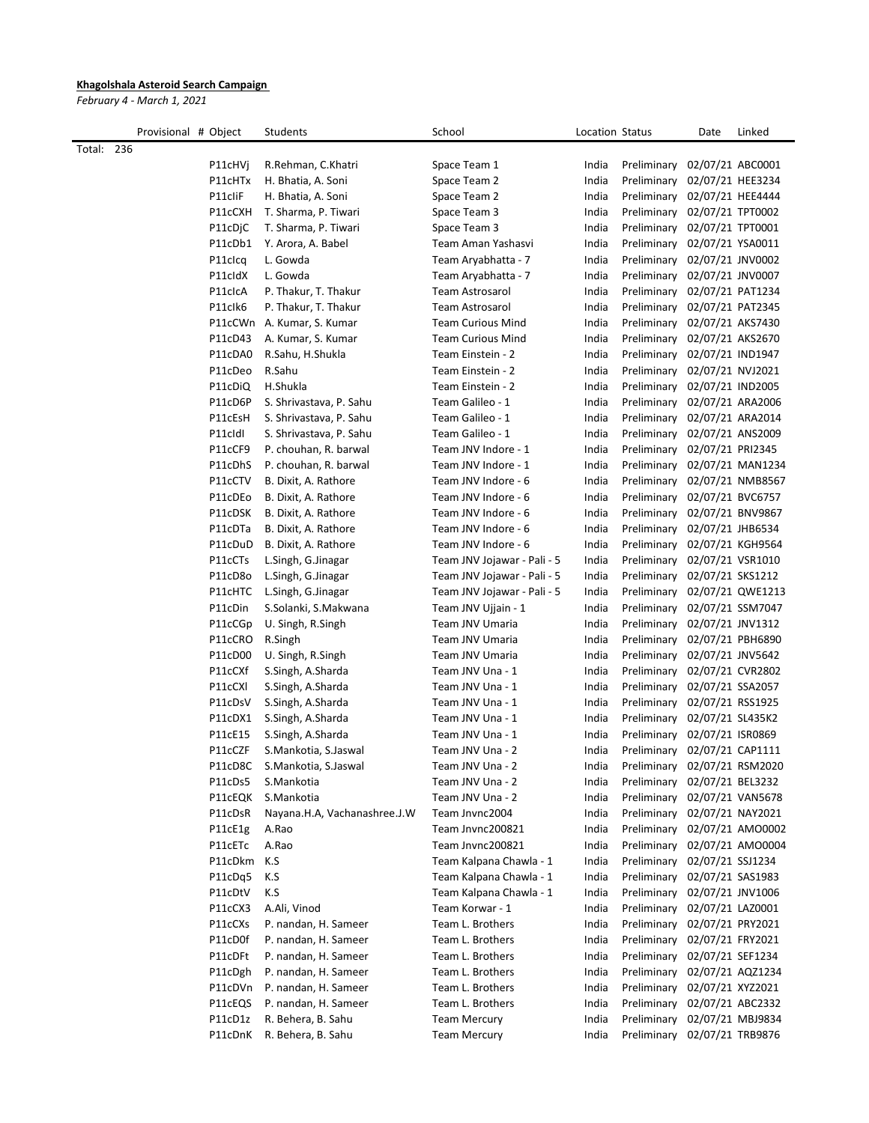## Khagolshala Asteroid Search Campaign

February 4 - March 1, 2021

|            | Provisional # Object |         | Students                     | School                      | Location Status |             | Date             | Linked           |
|------------|----------------------|---------|------------------------------|-----------------------------|-----------------|-------------|------------------|------------------|
| Total: 236 |                      |         |                              |                             |                 |             |                  |                  |
|            |                      | P11cHVi | R.Rehman, C.Khatri           | Space Team 1                | India           | Preliminary | 02/07/21 ABC0001 |                  |
|            |                      | P11cHTx | H. Bhatia, A. Soni           | Space Team 2                | India           | Preliminary | 02/07/21 HEE3234 |                  |
|            |                      | P11cliF | H. Bhatia, A. Soni           | Space Team 2                | India           | Preliminary | 02/07/21 HEE4444 |                  |
|            |                      | P11cCXH | T. Sharma, P. Tiwari         | Space Team 3                | India           | Preliminary | 02/07/21 TPT0002 |                  |
|            |                      | P11cDjC | T. Sharma, P. Tiwari         | Space Team 3                | India           | Preliminary | 02/07/21 TPT0001 |                  |
|            |                      | P11cDb1 | Y. Arora, A. Babel           | Team Aman Yashasvi          | India           | Preliminary | 02/07/21 YSA0011 |                  |
|            |                      | P11clcq | L. Gowda                     | Team Aryabhatta - 7         | India           | Preliminary | 02/07/21 JNV0002 |                  |
|            |                      | P11cldX | L. Gowda                     | Team Aryabhatta - 7         | India           | Preliminary | 02/07/21 JNV0007 |                  |
|            |                      | P11clcA | P. Thakur, T. Thakur         | <b>Team Astrosarol</b>      | India           | Preliminary | 02/07/21 PAT1234 |                  |
|            |                      | P11clk6 | P. Thakur, T. Thakur         | <b>Team Astrosarol</b>      | India           | Preliminary | 02/07/21 PAT2345 |                  |
|            |                      | P11cCWn | A. Kumar, S. Kumar           | <b>Team Curious Mind</b>    | India           | Preliminary | 02/07/21 AKS7430 |                  |
|            |                      | P11cD43 | A. Kumar, S. Kumar           | <b>Team Curious Mind</b>    | India           | Preliminary | 02/07/21 AKS2670 |                  |
|            |                      | P11cDA0 | R.Sahu, H.Shukla             | Team Einstein - 2           | India           | Preliminary | 02/07/21 IND1947 |                  |
|            |                      | P11cDeo | R.Sahu                       | Team Einstein - 2           | India           | Preliminary | 02/07/21 NVJ2021 |                  |
|            |                      | P11cDiQ | H.Shukla                     | Team Einstein - 2           | India           | Preliminary | 02/07/21 IND2005 |                  |
|            |                      | P11cD6P | S. Shrivastava, P. Sahu      | Team Galileo - 1            | India           | Preliminary | 02/07/21 ARA2006 |                  |
|            |                      | P11cEsH | S. Shrivastava, P. Sahu      | Team Galileo - 1            | India           | Preliminary | 02/07/21 ARA2014 |                  |
|            |                      | P11cldl | S. Shrivastava, P. Sahu      | Team Galileo - 1            | India           | Preliminary | 02/07/21 ANS2009 |                  |
|            |                      | P11cCF9 | P. chouhan, R. barwal        | Team JNV Indore - 1         | India           | Preliminary | 02/07/21 PRI2345 |                  |
|            |                      | P11cDhS | P. chouhan, R. barwal        | Team JNV Indore - 1         | India           | Preliminary |                  | 02/07/21 MAN1234 |
|            |                      | P11cCTV | B. Dixit, A. Rathore         | Team JNV Indore - 6         | India           | Preliminary |                  | 02/07/21 NMB8567 |
|            |                      | P11cDEo | B. Dixit, A. Rathore         | Team JNV Indore - 6         | India           | Preliminary | 02/07/21 BVC6757 |                  |
|            |                      | P11cDSK | B. Dixit, A. Rathore         | Team JNV Indore - 6         | India           | Preliminary |                  | 02/07/21 BNV9867 |
|            |                      | P11cDTa | B. Dixit, A. Rathore         | Team JNV Indore - 6         | India           | Preliminary | 02/07/21 JHB6534 |                  |
|            |                      | P11cDuD | B. Dixit, A. Rathore         | Team JNV Indore - 6         | India           | Preliminary |                  | 02/07/21 KGH9564 |
|            |                      | P11cCTs | L.Singh, G.Jinagar           | Team JNV Jojawar - Pali - 5 | India           | Preliminary | 02/07/21 VSR1010 |                  |
|            |                      | P11cD8o | L.Singh, G.Jinagar           | Team JNV Jojawar - Pali - 5 | India           | Preliminary | 02/07/21 SKS1212 |                  |
|            |                      | P11cHTC | L.Singh, G.Jinagar           | Team JNV Jojawar - Pali - 5 | India           | Preliminary |                  | 02/07/21 QWE1213 |
|            |                      | P11cDin | S.Solanki, S.Makwana         | Team JNV Ujjain - 1         | India           | Preliminary |                  | 02/07/21 SSM7047 |
|            |                      | P11cCGp | U. Singh, R.Singh            | Team JNV Umaria             | India           | Preliminary | 02/07/21 JNV1312 |                  |
|            |                      | P11cCRO | R.Singh                      | Team JNV Umaria             | India           | Preliminary | 02/07/21 PBH6890 |                  |
|            |                      | P11cD00 | U. Singh, R.Singh            | Team JNV Umaria             | India           | Preliminary | 02/07/21 JNV5642 |                  |
|            |                      | P11cCXf | S.Singh, A.Sharda            | Team JNV Una - 1            | India           | Preliminary | 02/07/21 CVR2802 |                  |
|            |                      | P11cCXI | S.Singh, A.Sharda            | Team JNV Una - 1            | India           | Preliminary | 02/07/21 SSA2057 |                  |
|            |                      | P11cDsV | S.Singh, A.Sharda            | Team JNV Una - 1            | India           | Preliminary | 02/07/21 RSS1925 |                  |
|            |                      | P11cDX1 | S.Singh, A.Sharda            | Team JNV Una - 1            | India           | Preliminary | 02/07/21 SL435K2 |                  |
|            |                      | P11cE15 | S.Singh, A.Sharda            | Team JNV Una - 1            | India           | Preliminary | 02/07/21 ISR0869 |                  |
|            |                      | P11cCZF | S.Mankotia, S.Jaswal         | Team JNV Una - 2            | India           | Preliminary | 02/07/21 CAP1111 |                  |
|            |                      | P11cD8C | S.Mankotia, S.Jaswal         | Team JNV Una - 2            | India           | Preliminary |                  | 02/07/21 RSM2020 |
|            |                      | P11cDs5 | S.Mankotia                   | Team JNV Una - 2            | India           | Preliminary | 02/07/21 BEL3232 |                  |
|            |                      | P11cEQK | S.Mankotia                   | Team JNV Una - 2            | India           | Preliminary |                  | 02/07/21 VAN5678 |
|            |                      | P11cDsR | Nayana.H.A, Vachanashree.J.W | Team Jnvnc2004              | India           | Preliminary | 02/07/21 NAY2021 |                  |
|            |                      | P11cE1g | A.Rao                        | Team Jnvnc200821            | India           | Preliminary |                  | 02/07/21 AMO0002 |
|            |                      | P11cETc | A.Rao                        | Team Jnvnc200821            | India           | Preliminary |                  | 02/07/21 AMO0004 |
|            |                      | P11cDkm | K.S                          | Team Kalpana Chawla - 1     | India           | Preliminary | 02/07/21 SSJ1234 |                  |
|            |                      | P11cDq5 | K.S                          | Team Kalpana Chawla - 1     | India           | Preliminary | 02/07/21 SAS1983 |                  |
|            |                      | P11cDtV | K.S                          | Team Kalpana Chawla - 1     | India           | Preliminary | 02/07/21 JNV1006 |                  |
|            |                      | P11cCX3 | A.Ali, Vinod                 | Team Korwar - 1             | India           | Preliminary | 02/07/21 LAZ0001 |                  |
|            |                      | P11cCXs | P. nandan, H. Sameer         | Team L. Brothers            | India           | Preliminary | 02/07/21 PRY2021 |                  |
|            |                      | P11cD0f | P. nandan, H. Sameer         | Team L. Brothers            | India           | Preliminary | 02/07/21 FRY2021 |                  |
|            |                      | P11cDFt | P. nandan, H. Sameer         | Team L. Brothers            | India           | Preliminary | 02/07/21 SEF1234 |                  |
|            |                      | P11cDgh | P. nandan, H. Sameer         | Team L. Brothers            | India           | Preliminary | 02/07/21 AQZ1234 |                  |
|            |                      | P11cDVn | P. nandan, H. Sameer         | Team L. Brothers            | India           | Preliminary | 02/07/21 XYZ2021 |                  |
|            |                      | P11cEQS | P. nandan, H. Sameer         | Team L. Brothers            | India           | Preliminary | 02/07/21 ABC2332 |                  |
|            |                      | P11cD1z | R. Behera, B. Sahu           | <b>Team Mercury</b>         | India           | Preliminary |                  | 02/07/21 MBJ9834 |
|            |                      | P11cDnK | R. Behera, B. Sahu           | <b>Team Mercury</b>         | India           | Preliminary | 02/07/21 TRB9876 |                  |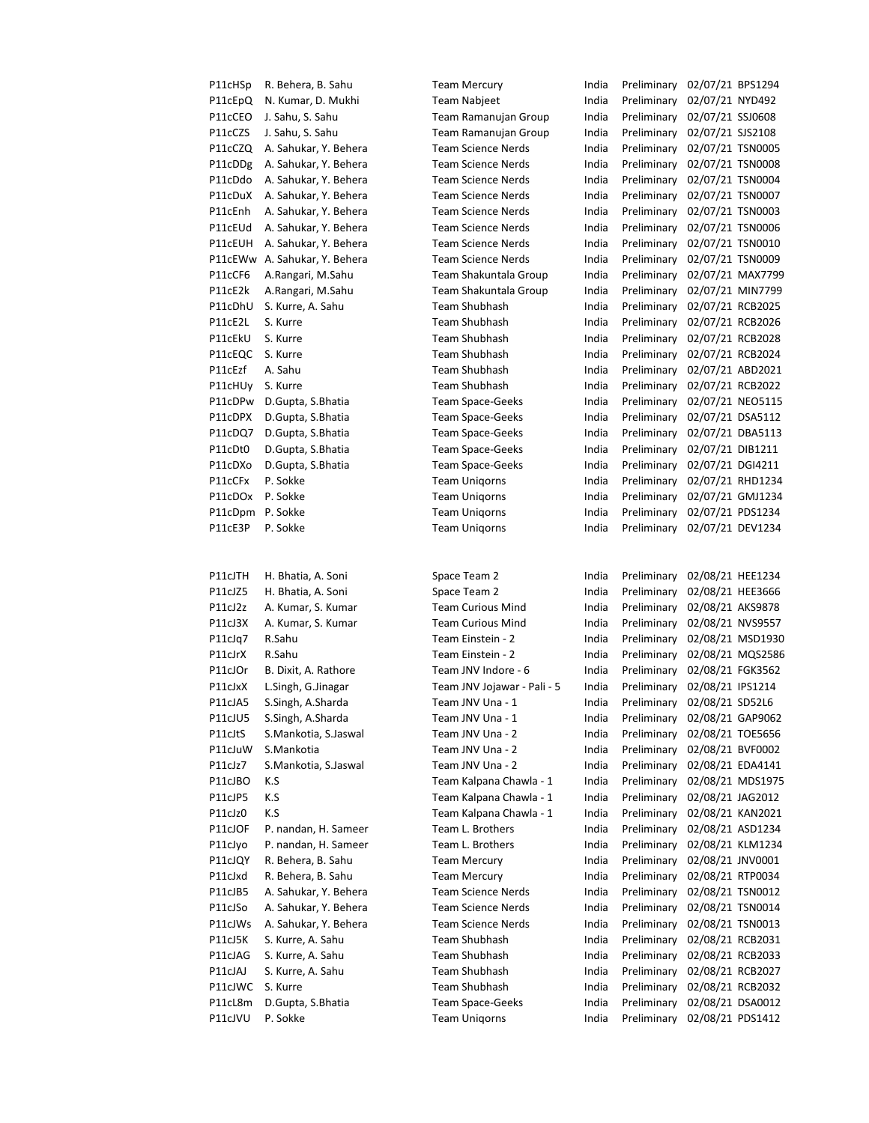| P11cHSp          | R. Behera, B. Sahu            | <b>Team Mercury</b>         | India | Preliminary | 02/07/21 BPS1294 |                  |
|------------------|-------------------------------|-----------------------------|-------|-------------|------------------|------------------|
| P11cEpQ          | N. Kumar, D. Mukhi            | <b>Team Nabjeet</b>         | India | Preliminary | 02/07/21 NYD492  |                  |
| P11cCEO          | J. Sahu, S. Sahu              | Team Ramanujan Group        | India | Preliminary | 02/07/21 SSJ0608 |                  |
| P11cCZS          | J. Sahu, S. Sahu              | Team Ramanujan Group        | India | Preliminary | 02/07/21 SJS2108 |                  |
| P11cCZQ          | A. Sahukar, Y. Behera         | <b>Team Science Nerds</b>   | India | Preliminary | 02/07/21 TSN0005 |                  |
| P11cDDg          | A. Sahukar, Y. Behera         | <b>Team Science Nerds</b>   | India | Preliminary | 02/07/21 TSN0008 |                  |
| P11cDdo          | A. Sahukar, Y. Behera         | <b>Team Science Nerds</b>   | India | Preliminary | 02/07/21 TSN0004 |                  |
| P11cDuX          | A. Sahukar, Y. Behera         | <b>Team Science Nerds</b>   | India | Preliminary | 02/07/21 TSN0007 |                  |
| P11cEnh          | A. Sahukar, Y. Behera         | <b>Team Science Nerds</b>   | India | Preliminary | 02/07/21 TSN0003 |                  |
| P11cEUd          | A. Sahukar, Y. Behera         | <b>Team Science Nerds</b>   | India | Preliminary | 02/07/21 TSN0006 |                  |
| P11cEUH          | A. Sahukar, Y. Behera         | <b>Team Science Nerds</b>   | India | Preliminary | 02/07/21 TSN0010 |                  |
|                  | P11cEWw A. Sahukar, Y. Behera | <b>Team Science Nerds</b>   | India | Preliminary | 02/07/21 TSN0009 |                  |
| P11cCF6          | A.Rangari, M.Sahu             | Team Shakuntala Group       | India | Preliminary |                  | 02/07/21 MAX7799 |
| P11cE2k          | A.Rangari, M.Sahu             | Team Shakuntala Group       | India | Preliminary | 02/07/21 MIN7799 |                  |
|                  |                               | Team Shubhash               | India |             |                  |                  |
| P11cDhU          | S. Kurre, A. Sahu             | <b>Team Shubhash</b>        |       | Preliminary | 02/07/21 RCB2025 |                  |
| P11cE2L          | S. Kurre                      |                             | India | Preliminary | 02/07/21 RCB2026 |                  |
| P11cEkU          | S. Kurre                      | <b>Team Shubhash</b>        | India | Preliminary | 02/07/21 RCB2028 |                  |
| P11cEQC          | S. Kurre                      | Team Shubhash               | India | Preliminary | 02/07/21 RCB2024 |                  |
| P11cEzf          | A. Sahu                       | Team Shubhash               | India | Preliminary | 02/07/21 ABD2021 |                  |
| P11cHUy          | S. Kurre                      | <b>Team Shubhash</b>        | India | Preliminary | 02/07/21 RCB2022 |                  |
| P11cDPw          | D.Gupta, S.Bhatia             | <b>Team Space-Geeks</b>     | India | Preliminary |                  | 02/07/21 NEO5115 |
| P11cDPX          | D.Gupta, S.Bhatia             | <b>Team Space-Geeks</b>     | India | Preliminary | 02/07/21 DSA5112 |                  |
| P11cDQ7          | D.Gupta, S.Bhatia             | <b>Team Space-Geeks</b>     | India | Preliminary | 02/07/21 DBA5113 |                  |
| P11cDt0          | D.Gupta, S.Bhatia             | <b>Team Space-Geeks</b>     | India | Preliminary | 02/07/21 DIB1211 |                  |
| P11cDXo          | D.Gupta, S.Bhatia             | <b>Team Space-Geeks</b>     | India | Preliminary | 02/07/21 DGI4211 |                  |
| P11cCFx          | P. Sokke                      | <b>Team Unigorns</b>        | India | Preliminary | 02/07/21 RHD1234 |                  |
| P11cDOx          | P. Sokke                      | <b>Team Uniqorns</b>        | India | Preliminary |                  | 02/07/21 GMJ1234 |
| P11cDpm P. Sokke |                               | <b>Team Unigorns</b>        | India | Preliminary | 02/07/21 PDS1234 |                  |
| P11cE3P          | P. Sokke                      | <b>Team Unigorns</b>        | India | Preliminary | 02/07/21 DEV1234 |                  |
| P11cJTH          | H. Bhatia, A. Soni            | Space Team 2                | India | Preliminary | 02/08/21 HEE1234 |                  |
| P11cJZ5          | H. Bhatia, A. Soni            | Space Team 2                | India | Preliminary | 02/08/21 HEE3666 |                  |
| P11cJ2z          | A. Kumar, S. Kumar            | <b>Team Curious Mind</b>    | India | Preliminary | 02/08/21 AKS9878 |                  |
|                  |                               | <b>Team Curious Mind</b>    |       |             |                  |                  |
| P11cJ3X          | A. Kumar, S. Kumar            |                             | India | Preliminary | 02/08/21 NVS9557 |                  |
| P11cJq7          | R.Sahu                        | Team Einstein - 2           | India | Preliminary |                  | 02/08/21 MSD1930 |
| P11cJrX          | R.Sahu                        | Team Einstein - 2           | India | Preliminary |                  | 02/08/21 MQS2586 |
| P11cJOr          | B. Dixit, A. Rathore          | Team JNV Indore - 6         | India | Preliminary | 02/08/21 FGK3562 |                  |
| P11cJxX          | L.Singh, G.Jinagar            | Team JNV Jojawar - Pali - 5 | India | Preliminary | 02/08/21 IPS1214 |                  |
| P11cJA5          | S.Singh, A.Sharda             | Team JNV Una - 1            | India | Preliminary | 02/08/21 SD52L6  |                  |
| P11cJU5          | S.Singh, A.Sharda             | Team JNV Una - 1            | India | Preliminary |                  | 02/08/21 GAP9062 |
| P11cJtS          | S.Mankotia, S.Jaswal          | Team JNV Una - 2            | India | Preliminary | 02/08/21 TOE5656 |                  |
| P11cJuW          | S.Mankotia                    | Team JNV Una - 2            | India | Preliminary | 02/08/21 BVF0002 |                  |
| P11cJz7          | S.Mankotia, S.Jaswal          | Team JNV Una - 2            | India | Preliminary |                  | 02/08/21 EDA4141 |
| P11cJBO          | K.S                           | Team Kalpana Chawla - 1     | India | Preliminary |                  | 02/08/21 MDS1975 |
| P11cJP5          | K.S                           | Team Kalpana Chawla - 1     | India | Preliminary | 02/08/21 JAG2012 |                  |
| P11cJz0          | K.S                           | Team Kalpana Chawla - 1     | India | Preliminary |                  | 02/08/21 KAN2021 |
| P11cJOF          | P. nandan, H. Sameer          | Team L. Brothers            | India | Preliminary | 02/08/21 ASD1234 |                  |
| P11cJyo          | P. nandan, H. Sameer          | Team L. Brothers            | India | Preliminary |                  | 02/08/21 KLM1234 |
| P11cJQY          | R. Behera, B. Sahu            | <b>Team Mercury</b>         | India | Preliminary | 02/08/21 JNV0001 |                  |
| P11cJxd          | R. Behera, B. Sahu            | <b>Team Mercury</b>         | India | Preliminary | 02/08/21 RTP0034 |                  |
| P11cJB5          | A. Sahukar, Y. Behera         | <b>Team Science Nerds</b>   | India | Preliminary | 02/08/21 TSN0012 |                  |
| P11cJSo          | A. Sahukar, Y. Behera         | <b>Team Science Nerds</b>   | India | Preliminary | 02/08/21 TSN0014 |                  |
| P11cJWs          | A. Sahukar, Y. Behera         | <b>Team Science Nerds</b>   | India | Preliminary | 02/08/21 TSN0013 |                  |
| P11cJ5K          | S. Kurre, A. Sahu             | Team Shubhash               | India | Preliminary | 02/08/21 RCB2031 |                  |
| P11cJAG          | S. Kurre, A. Sahu             | Team Shubhash               | India | Preliminary | 02/08/21 RCB2033 |                  |
| P11cJAJ          | S. Kurre, A. Sahu             | Team Shubhash               | India | Preliminary | 02/08/21 RCB2027 |                  |
| P11cJWC          | S. Kurre                      | <b>Team Shubhash</b>        | India | Preliminary |                  | 02/08/21 RCB2032 |
| P11cL8m          | D.Gupta, S.Bhatia             | <b>Team Space-Geeks</b>     | India | Preliminary | 02/08/21 DSA0012 |                  |
| P11cJVU          | P. Sokke                      | <b>Team Unigorns</b>        | India | Preliminary | 02/08/21 PDS1412 |                  |
|                  |                               |                             |       |             |                  |                  |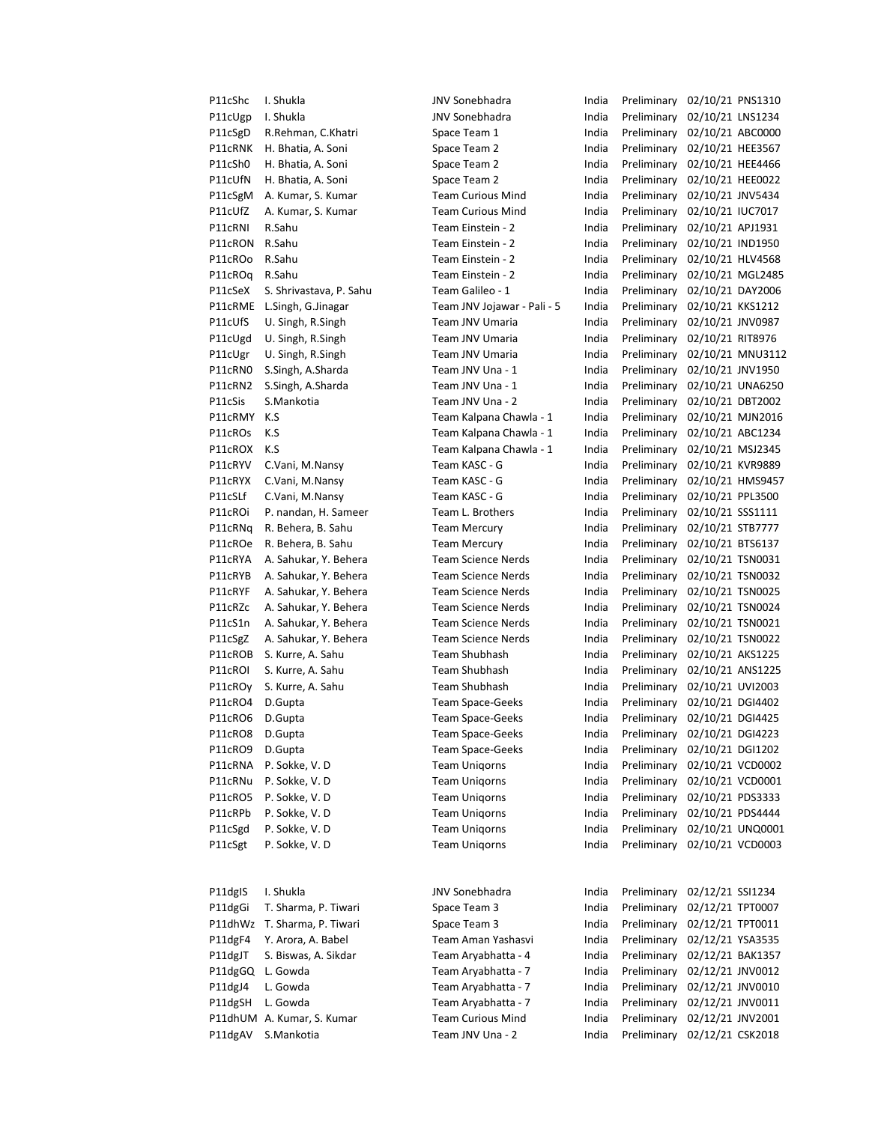P11cShc I. Shukla **India India Preliminary 02/10/21 PNS1310** JNV Sonebhadra India Preliminary 02/10/21 PNS1310

P11cUgp I. Shukla **INV Sonebhadra** India Preliminary 02/10/21 LNS1234 P11cSgD R.Rehman, C.Khatri Space Team 1 India Preliminary 02/10/21 ABC0000 P11cRNK H. Bhatia, A. Soni Space Team 2 India Preliminary 02/10/21 HEE3567 P11cSh0 H. Bhatia, A. Soni Space Team 2 India Preliminary 02/10/21 HEE4466 P11cUfN H. Bhatia, A. Soni Space Team 2 India Preliminary 02/10/21 HEE0022 P11cSgM A. Kumar, S. Kumar Team Curious Mind India Preliminary 02/10/21 JNV5434 P11cUfZ A. Kumar, S. Kumar Team Curious Mind India Preliminary 02/10/21 IUC7017 P11cRNI R.Sahu Team Einstein - 2 India Preliminary 02/10/21 APJ1931 P11cRON R.Sahu Team Einstein - 2 India Preliminary 02/10/21 IND1950 P11cROo R.Sahu Team Einstein - 2 India Preliminary 02/10/21 HLV4568 P11cROq R.Sahu Team Einstein - 2 India Preliminary 02/10/21 MGL2485 P11cSeX S. Shrivastava, P. Sahu Team Galileo - 1 India Preliminary 02/10/21 DAY2006 P11cRME L.Singh, G.Jinagar Team JNV Jojawar - Pali - 5 India Preliminary 02/10/21 KKS1212 P11cUfS U. Singh, R.Singh Team JNV Umaria India Preliminary 02/10/21 JNV0987 P11cUgd U. Singh, R.Singh Team JNV Umaria India Preliminary 02/10/21 RIT8976 P11cUgr U. Singh, R.Singh Team JNV Umaria India Preliminary 02/10/21 MNU3112 P11cRN0 S.Singh, A.Sharda Team JNV Una - 1 India Preliminary 02/10/21 JNV1950 P11cRN2 S.Singh, A.Sharda Team JNV Una - 1 India Preliminary 02/10/21 UNA6250 P11cSis S.Mankotia Team JNV Una - 2 India Preliminary 02/10/21 DBT2002 P11cRMY K.S Team Kalpana Chawla - 1 India Preliminary 02/10/21 MJN2016 P11cROs K.S Team Kalpana Chawla - 1 India Preliminary 02/10/21 ABC1234 P11cROX K.S Team Kalpana Chawla - 1 India Preliminary 02/10/21 MSJ2345 P11cRYV C.Vani, M.Nansy Team KASC - G India Preliminary 02/10/21 KVR9889 P11cRYX C.Vani, M.Nansy Team KASC - G India Preliminary 02/10/21 HMS9457 P11cSLf C.Vani, M.Nansy Team KASC - G India Preliminary 02/10/21 PPL3500 P11cROi P. nandan, H. Sameer Team L. Brothers India Preliminary 02/10/21 SSS1111 P11cRNq R. Behera, B. Sahu Team Mercury India Preliminary 02/10/21 STB7777 P11cROe R. Behera, B. Sahu Team Mercury India Preliminary 02/10/21 BTS6137 P11cRYA A. Sahukar, Y. Behera Team Science Nerds India Preliminary 02/10/21 TSN0031 P11cRYB A. Sahukar, Y. Behera Team Science Nerds India Preliminary 02/10/21 TSN0032 P11cRYF A. Sahukar, Y. Behera Team Science Nerds India Preliminary 02/10/21 TSN0025 P11cRZc A. Sahukar, Y. Behera Team Science Nerds India Preliminary 02/10/21 TSN0024 P11cS1n A. Sahukar, Y. Behera Team Science Nerds India Preliminary 02/10/21 TSN0021 P11cSgZ A. Sahukar, Y. Behera Team Science Nerds India Preliminary 02/10/21 TSN0022 P11cROB S. Kurre, A. Sahu Team Shubhash India Preliminary 02/10/21 AKS1225 P11cROI S. Kurre, A. Sahu Team Shubhash India Preliminary 02/10/21 ANS1225 P11cROy S. Kurre, A. Sahu Team Shubhash India Preliminary 02/10/21 UVI2003 P11cRO4 D.Gupta Team Space-Geeks India Preliminary 02/10/21 DGI4402 P11cRO6 D.Gupta Team Space-Geeks India Preliminary 02/10/21 DGI4425 P11cRO8 D.Gupta Team Space-Geeks India Preliminary 02/10/21 DGI4223 P11cRO9 D.Gupta Team Space-Geeks India Preliminary 02/10/21 DGI1202 P11cRNA P. Sokke, V. D Team Uniqorns India Preliminary 02/10/21 VCD0002 P11cRNu P. Sokke, V. D Team Uniqorns India Preliminary 02/10/21 VCD0001 P11cRO5 P. Sokke, V. D Team Uniqorns India Preliminary 02/10/21 PDS3333 P11cRPb P. Sokke, V. D Team Uniqorns India Preliminary 02/10/21 PDS4444 P11cSgd P. Sokke, V. D Team Uniqorns India Preliminary 02/10/21 UNQ0001 P11cSgt P. Sokke, V. D Team Uniqorns India Preliminary 02/10/21 VCD0003 P11dgIS I. Shukla **India India India Preliminary 02/12/21 SSI1234** P11dgGi T. Sharma, P. Tiwari Space Team 3 India Preliminary 02/12/21 TPT0007 P11dhWz T. Sharma, P. Tiwari Space Team 3 India Preliminary 02/12/21 TPT0011 P11dgF4 Y. Arora, A. Babel Team Aman Yashasvi India Preliminary 02/12/21 YSA3535 P11dgJT S. Biswas, A. Sikdar Team Aryabhatta - 4 India Preliminary 02/12/21 BAK1357 P11dgGQ L. Gowda Team Aryabhatta - 7 India Preliminary 02/12/21 JNV0012 P11dgJ4 L. Gowda Team Aryabhatta - 7 India Preliminary 02/12/21 JNV0010 P11dgSH L. Gowda Team Aryabhatta - 7 India Preliminary 02/12/21 JNV0011 P11dhUM A. Kumar, S. Kumar Team Curious Mind India Preliminary 02/12/21 JNV2001 P11dgAV S.Mankotia Team JNV Una - 2 India Preliminary 02/12/21 CSK2018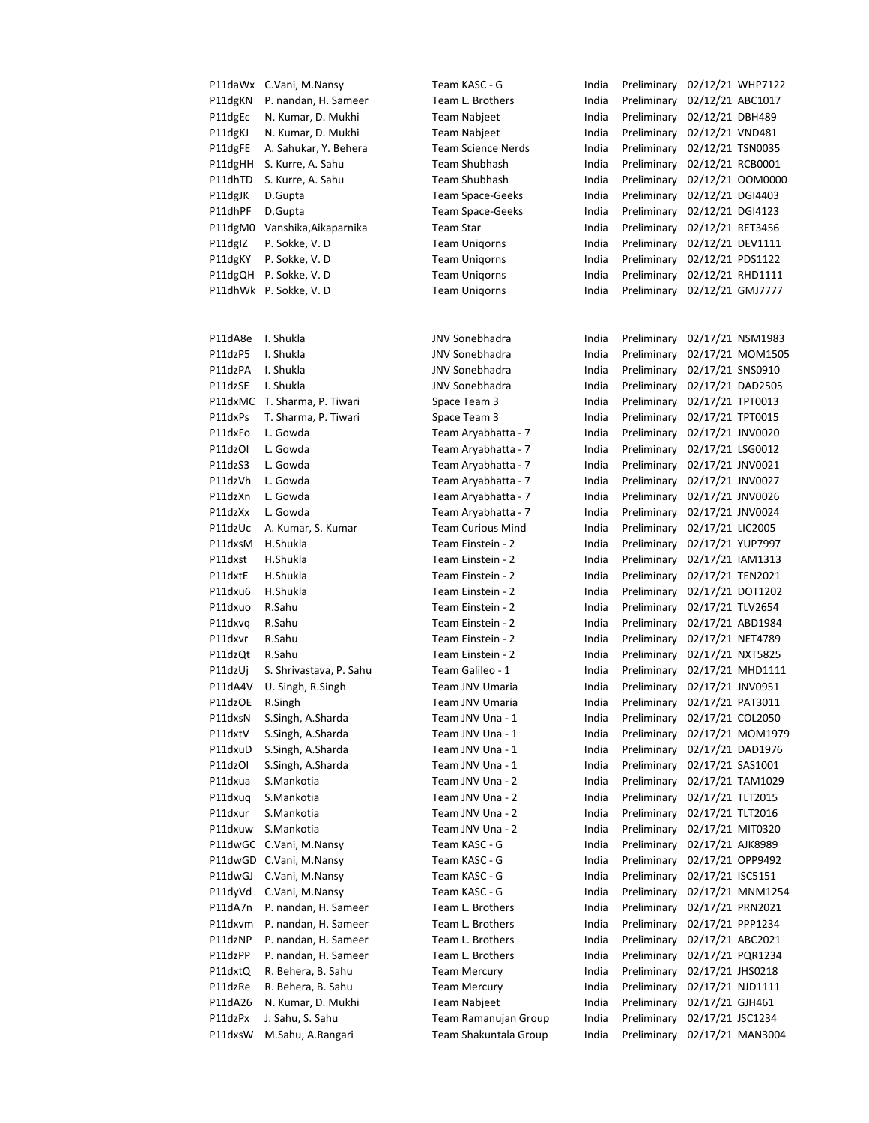|                     | P11daWx C.Vani, M.Nansy      | Team KASC - G             | India | Preliminary                  |                  | 02/12/21 WHP7122 |
|---------------------|------------------------------|---------------------------|-------|------------------------------|------------------|------------------|
| P11dgKN             | P. nandan, H. Sameer         | Team L. Brothers          | India | Preliminary                  | 02/12/21 ABC1017 |                  |
| P11dgEc             | N. Kumar, D. Mukhi           | <b>Team Nabjeet</b>       | India | Preliminary                  | 02/12/21 DBH489  |                  |
| P11dgKJ             | N. Kumar, D. Mukhi           | <b>Team Nabjeet</b>       | India | Preliminary                  | 02/12/21 VND481  |                  |
| P11dgFE             | A. Sahukar, Y. Behera        | <b>Team Science Nerds</b> | India | Preliminary                  | 02/12/21 TSN0035 |                  |
| P11dgHH             | S. Kurre, A. Sahu            | Team Shubhash             | India | Preliminary                  | 02/12/21 RCB0001 |                  |
| P11dhTD             | S. Kurre, A. Sahu            | <b>Team Shubhash</b>      | India | Preliminary                  |                  | 02/12/21 00M0000 |
| P11dgJK             | D.Gupta                      | <b>Team Space-Geeks</b>   | India | Preliminary 02/12/21 DGI4403 |                  |                  |
| P11dhPF             | D.Gupta                      | <b>Team Space-Geeks</b>   | India | Preliminary 02/12/21 DGI4123 |                  |                  |
| P11dgM0             | Vanshika, Aikaparnika        | <b>Team Star</b>          | India | Preliminary 02/12/21 RET3456 |                  |                  |
| P11dg <sub>IZ</sub> | P. Sokke, V. D               | <b>Team Unigorns</b>      | India | Preliminary                  | 02/12/21 DEV1111 |                  |
| P11dgKY             | P. Sokke, V. D               | <b>Team Unigorns</b>      | India | Preliminary                  | 02/12/21 PDS1122 |                  |
| P11dgQH             | P. Sokke, V. D               | <b>Team Unigorns</b>      | India | Preliminary                  | 02/12/21 RHD1111 |                  |
|                     | P11dhWk P. Sokke, V. D       | <b>Team Unigorns</b>      | India | Preliminary 02/12/21 GMJ7777 |                  |                  |
|                     |                              |                           |       |                              |                  |                  |
|                     |                              |                           |       |                              |                  |                  |
| P11dA8e             | I. Shukla                    | <b>JNV Sonebhadra</b>     | India | Preliminary                  |                  | 02/17/21 NSM1983 |
| P11dzP5             | I. Shukla                    | <b>JNV Sonebhadra</b>     | India | Preliminary                  |                  | 02/17/21 MOM1505 |
| P11dzPA             | I. Shukla                    | <b>JNV Sonebhadra</b>     | India | Preliminary                  | 02/17/21 SNS0910 |                  |
| P11dzSE             | I. Shukla                    | <b>JNV Sonebhadra</b>     | India | Preliminary                  | 02/17/21 DAD2505 |                  |
|                     | P11dxMC T. Sharma, P. Tiwari | Space Team 3              | India | Preliminary 02/17/21 TPT0013 |                  |                  |
| P11dxPs             | T. Sharma, P. Tiwari         | Space Team 3              | India | Preliminary 02/17/21 TPT0015 |                  |                  |
| P11dxFo             | L. Gowda                     | Team Aryabhatta - 7       | India | Preliminary 02/17/21 JNV0020 |                  |                  |
| P11dzOI             | L. Gowda                     | Team Aryabhatta - 7       | India | Preliminary 02/17/21 LSG0012 |                  |                  |
| P11dzS3             | L. Gowda                     | Team Aryabhatta - 7       | India | Preliminary                  | 02/17/21 JNV0021 |                  |
| P11dzVh             | L. Gowda                     | Team Aryabhatta - 7       | India | Preliminary                  | 02/17/21 JNV0027 |                  |
| P11dzXn             | L. Gowda                     | Team Aryabhatta - 7       | India | Preliminary                  | 02/17/21 JNV0026 |                  |
| P11dzXx             | L. Gowda                     | Team Aryabhatta - 7       | India | Preliminary                  | 02/17/21 JNV0024 |                  |
| P11dzUc             | A. Kumar, S. Kumar           | <b>Team Curious Mind</b>  | India | Preliminary                  | 02/17/21 LIC2005 |                  |
| P11dxsM             | H.Shukla                     | Team Einstein - 2         | India | Preliminary 02/17/21 YUP7997 |                  |                  |
| P11dxst             | H.Shukla                     | Team Einstein - 2         | India | Preliminary 02/17/21 IAM1313 |                  |                  |
| P11dxtE             | H.Shukla                     | Team Einstein - 2         | India | Preliminary                  | 02/17/21 TEN2021 |                  |
| P11dxu6             | H.Shukla                     | Team Einstein - 2         | India | Preliminary                  | 02/17/21 DOT1202 |                  |
| P11dxuo             | R.Sahu                       | Team Einstein - 2         | India | Preliminary                  | 02/17/21 TLV2654 |                  |
| P11dxvq             | R.Sahu                       | Team Einstein - 2         | India | Preliminary 02/17/21 ABD1984 |                  |                  |
| P11dxvr             | R.Sahu                       | Team Einstein - 2         | India | Preliminary                  | 02/17/21 NET4789 |                  |
| P11dzQt             | R.Sahu                       | Team Einstein - 2         | India | Preliminary 02/17/21 NXT5825 |                  |                  |
| P11dzUj             | S. Shrivastava, P. Sahu      | Team Galileo - 1          | India | Preliminary                  |                  | 02/17/21 MHD1111 |
| P11dA4V             | U. Singh, R.Singh            | Team JNV Umaria           | India | Preliminary                  | 02/17/21 JNV0951 |                  |
| P11dzOE             | R.Singh                      | Team JNV Umaria           | India | Preliminary                  | 02/17/21 PAT3011 |                  |
| P11dxsN             | S.Singh, A.Sharda            | Team JNV Una - 1          | India | Preliminary                  | 02/17/21 COL2050 |                  |
| P11dxtV             | S.Singh, A.Sharda            | Team JNV Una - 1          | India | Preliminary                  |                  | 02/17/21 MOM1979 |
| P11dxuD             | S.Singh, A.Sharda            | Team JNV Una - 1          | India | Preliminary                  |                  | 02/17/21 DAD1976 |
| P11dzOl             | S.Singh, A.Sharda            | Team JNV Una - 1          | India | Preliminary                  | 02/17/21 SAS1001 |                  |
| P11dxua             | S.Mankotia                   | Team JNV Una - 2          | India | Preliminary                  |                  | 02/17/21 TAM1029 |
| P11dxua             | S.Mankotia                   | Team JNV Una - 2          | India | Preliminary                  | 02/17/21 TLT2015 |                  |
| P11dxur             | S.Mankotia                   | Team JNV Una - 2          | India | Preliminary                  | 02/17/21 TLT2016 |                  |
| P11dxuw             | S.Mankotia                   | Team JNV Una - 2          | India | Preliminary                  | 02/17/21 MIT0320 |                  |
|                     | P11dwGC C.Vani, M.Nansy      | Team KASC - G             | India | Preliminary                  | 02/17/21 AJK8989 |                  |
|                     | P11dwGD C.Vani, M.Nansy      | Team KASC - G             | India | Preliminary                  | 02/17/21 OPP9492 |                  |
| P11dwGJ             | C.Vani, M.Nansy              | Team KASC - G             | India | Preliminary                  | 02/17/21 ISC5151 |                  |
| P11dyVd             | C.Vani, M.Nansy              | Team KASC - G             | India | Preliminary                  |                  | 02/17/21 MNM1254 |
| P11dA7n             | P. nandan, H. Sameer         | Team L. Brothers          | India | Preliminary                  | 02/17/21 PRN2021 |                  |
| P11dxvm             | P. nandan, H. Sameer         | Team L. Brothers          | India | Preliminary                  | 02/17/21 PPP1234 |                  |
| P11dzNP             | P. nandan, H. Sameer         | Team L. Brothers          | India | Preliminary                  | 02/17/21 ABC2021 |                  |
| P11dzPP             | P. nandan, H. Sameer         | Team L. Brothers          | India | Preliminary                  | 02/17/21 PQR1234 |                  |
| P11dxtQ             | R. Behera, B. Sahu           | <b>Team Mercury</b>       | India | Preliminary                  | 02/17/21 JHS0218 |                  |
| P11dzRe             | R. Behera, B. Sahu           | <b>Team Mercury</b>       | India | Preliminary                  | 02/17/21 NJD1111 |                  |
| P11dA26             | N. Kumar, D. Mukhi           | Team Nabjeet              | India | Preliminary                  | 02/17/21 GJH461  |                  |
| P11dzPx             | J. Sahu, S. Sahu             | Team Ramanujan Group      | India | Preliminary                  | 02/17/21 JSC1234 |                  |
| P11dxsW             | M.Sahu, A.Rangari            | Team Shakuntala Group     | India | Preliminary 02/17/21 MAN3004 |                  |                  |